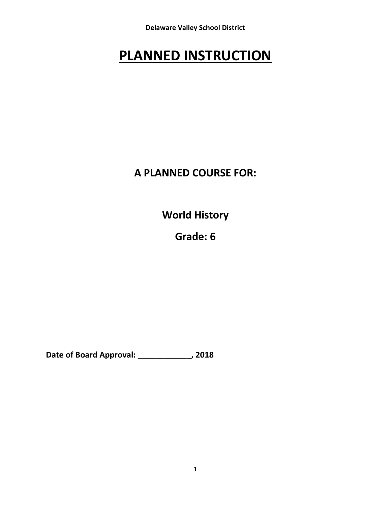**Delaware Valley School District**

# **PLANNED INSTRUCTION**

## **A PLANNED COURSE FOR:**

**World History**

**Grade: 6**

**Date of Board Approval: \_\_\_\_\_\_\_\_\_\_\_\_, 2018**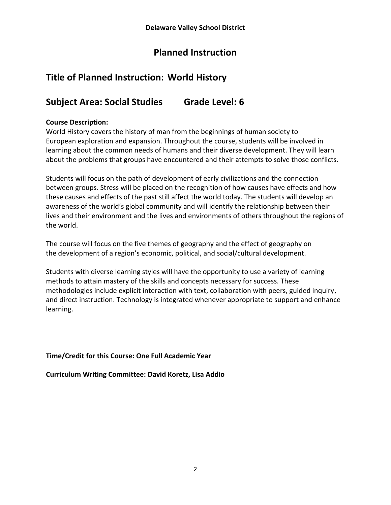## **Planned Instruction**

## **Title of Planned Instruction: World History**

## **Subject Area: Social Studies Grade Level: 6**

## **Course Description:**

World History covers the history of man from the beginnings of human society to European exploration and expansion. Throughout the course, students will be involved in learning about the common needs of humans and their diverse development. They will learn about the problems that groups have encountered and their attempts to solve those conflicts.

Students will focus on the path of development of early civilizations and the connection between groups. Stress will be placed on the recognition of how causes have effects and how these causes and effects of the past still affect the world today. The students will develop an awareness of the world's global community and will identify the relationship between their lives and their environment and the lives and environments of others throughout the regions of the world.

The course will focus on the five themes of geography and the effect of geography on the development of a region's economic, political, and social/cultural development.

Students with diverse learning styles will have the opportunity to use a variety of learning methods to attain mastery of the skills and concepts necessary for success. These methodologies include explicit interaction with text, collaboration with peers, guided inquiry, and direct instruction. Technology is integrated whenever appropriate to support and enhance learning.

## **Time/Credit for this Course: One Full Academic Year**

**Curriculum Writing Committee: David Koretz, Lisa Addio**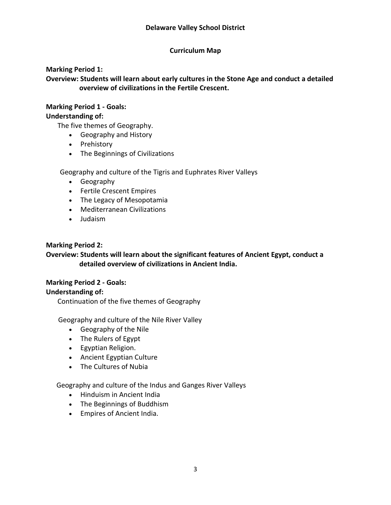#### **Curriculum Map**

#### **Marking Period 1:**

**Overview: Students will learn about early cultures in the Stone Age and conduct a detailed overview of civilizations in the Fertile Crescent.** 

#### **Marking Period 1 ‐ Goals:**

#### **Understanding of:**

The five themes of Geography.

- Geography and History
- Prehistory
- The Beginnings of Civilizations

Geography and culture of the Tigris and Euphrates River Valleys

- Geography
- Fertile Crescent Empires
- The Legacy of Mesopotamia
- Mediterranean Civilizations
- Judaism

#### **Marking Period 2:**

## **Overview: Students will learn about the significant features of Ancient Egypt, conduct a detailed overview of civilizations in Ancient India.**

#### **Marking Period 2 ‐ Goals: Understanding of:**

Continuation of the five themes of Geography

Geography and culture of the Nile River Valley

- Geography of the Nile
- The Rulers of Egypt
- Egyptian Religion.
- Ancient Egyptian Culture
- The Cultures of Nubia

Geography and culture of the Indus and Ganges River Valleys

- Hinduism in Ancient India
- The Beginnings of Buddhism
- Empires of Ancient India.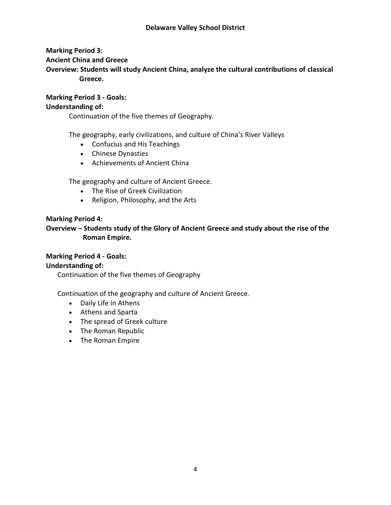## **Marking Period 3:**

## **Ancient China and Greece**

**Overview: Students will study Ancient China, analyze the cultural contributions of classical Greece.**

#### **Marking Period 3 ‐ Goals: Understanding of:**

Continuation of the five themes of Geography.

The geography, early civilizations, and culture of China's River Valleys

- Confucius and His Teachings
- Chinese Dynasties
- Achievements of Ancient China

The geography and culture of Ancient Greece.

- The Rise of Greek Civilization
- Religion, Philosophy, and the Arts

## **Marking Period 4:**

**Overview – Students study of the Glory of Ancient Greece and study about the rise of the Roman Empire.**

## **Marking Period 4 ‐ Goals:**

## **Understanding of:**

Continuation of the five themes of Geography

Continuation of the geography and culture of Ancient Greece.

- Daily Life in Athens
- Athens and Sparta
- The spread of Greek culture
- The Roman Republic
- The Roman Empire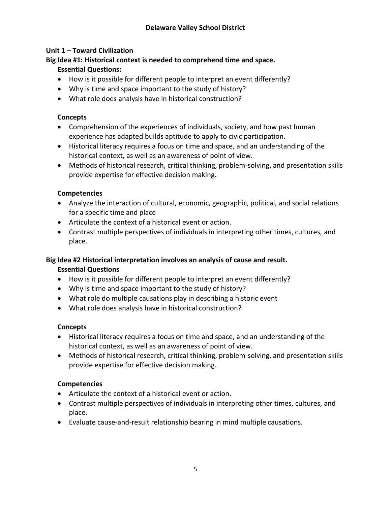## **Unit 1 – Toward Civilization**

## **Big Idea #1: Historical context is needed to comprehend time and space. Essential Questions:**

- How is it possible for different people to interpret an event differently?
- Why is time and space important to the study of history?
- What role does analysis have in historical construction?

## **Concepts**

- Comprehension of the experiences of individuals, society, and how past human experience has adapted builds aptitude to apply to civic participation.
- Historical literacy requires a focus on time and space, and an understanding of the historical context, as well as an awareness of point of view.
- Methods of historical research, critical thinking, problem-solving, and presentation skills provide expertise for effective decision making**.**

## **Competencies**

- Analyze the interaction of cultural, economic, geographic, political, and social relations for a specific time and place
- Articulate the context of a historical event or action.
- Contrast multiple perspectives of individuals in interpreting other times, cultures, and place.

#### **Big Idea #2 Historical interpretation involves an analysis of cause and result. Essential Questions**

- How is it possible for different people to interpret an event differently?
- Why is time and space important to the study of history?
- What role do multiple causations play in describing a historic event
- What role does analysis have in historical construction?

## **Concepts**

- Historical literacy requires a focus on time and space, and an understanding of the historical context, as well as an awareness of point of view.
- Methods of historical research, critical thinking, problem-solving, and presentation skills provide expertise for effective decision making.

## **Competencies**

- Articulate the context of a historical event or action.
- Contrast multiple perspectives of individuals in interpreting other times, cultures, and place.
- Evaluate cause-and-result relationship bearing in mind multiple causations.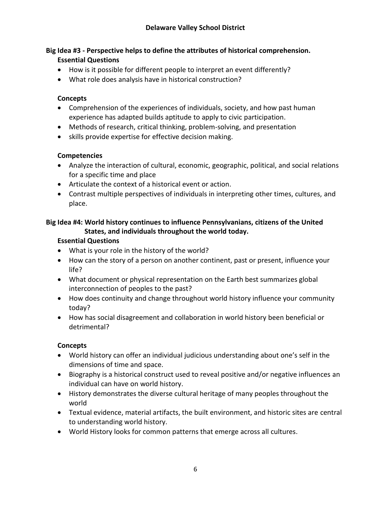## **Big Idea #3 ‐ Perspective helps to define the attributes of historical comprehension. Essential Questions**

- How is it possible for different people to interpret an event differently?
- What role does analysis have in historical construction?

## **Concepts**

- Comprehension of the experiences of individuals, society, and how past human experience has adapted builds aptitude to apply to civic participation.
- Methods of research, critical thinking, problem-solving, and presentation
- skills provide expertise for effective decision making.

## **Competencies**

- Analyze the interaction of cultural, economic, geographic, political, and social relations for a specific time and place
- Articulate the context of a historical event or action.
- Contrast multiple perspectives of individuals in interpreting other times, cultures, and place.

## **Big Idea #4: World history continues to influence Pennsylvanians, citizens of the United States, and individuals throughout the world today.**

## **Essential Questions**

- What is your role in the history of the world?
- How can the story of a person on another continent, past or present, influence your life?
- What document or physical representation on the Earth best summarizes global interconnection of peoples to the past?
- How does continuity and change throughout world history influence your community today?
- How has social disagreement and collaboration in world history been beneficial or detrimental?

## **Concepts**

- World history can offer an individual judicious understanding about one's self in the dimensions of time and space.
- Biography is a historical construct used to reveal positive and/or negative influences an individual can have on world history.
- History demonstrates the diverse cultural heritage of many peoples throughout the world
- Textual evidence, material artifacts, the built environment, and historic sites are central to understanding world history.
- World History looks for common patterns that emerge across all cultures.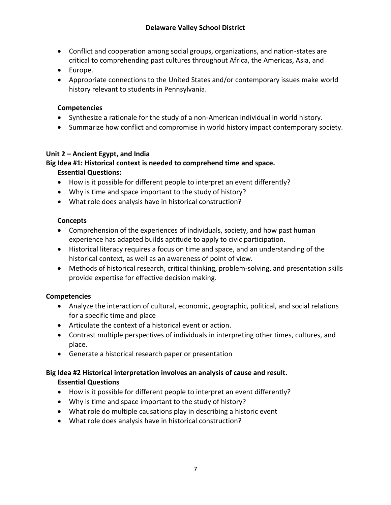- Conflict and cooperation among social groups, organizations, and nation‐states are critical to comprehending past cultures throughout Africa, the Americas, Asia, and
- Europe.
- Appropriate connections to the United States and/or contemporary issues make world history relevant to students in Pennsylvania.

## **Competencies**

- Synthesize a rationale for the study of a non-American individual in world history.
- Summarize how conflict and compromise in world history impact contemporary society.

## **Unit 2 – Ancient Egypt, and India**

## **Big Idea #1: Historical context is needed to comprehend time and space.**

## **Essential Questions:**

- How is it possible for different people to interpret an event differently?
- Why is time and space important to the study of history?
- What role does analysis have in historical construction?

## **Concepts**

- Comprehension of the experiences of individuals, society, and how past human experience has adapted builds aptitude to apply to civic participation.
- Historical literacy requires a focus on time and space, and an understanding of the historical context, as well as an awareness of point of view.
- Methods of historical research, critical thinking, problem-solving, and presentation skills provide expertise for effective decision making.

## **Competencies**

- Analyze the interaction of cultural, economic, geographic, political, and social relations for a specific time and place
- Articulate the context of a historical event or action.
- Contrast multiple perspectives of individuals in interpreting other times, cultures, and place.
- Generate a historical research paper or presentation

## **Big Idea #2 Historical interpretation involves an analysis of cause and result. Essential Questions**

- How is it possible for different people to interpret an event differently?
- Why is time and space important to the study of history?
- What role do multiple causations play in describing a historic event
- What role does analysis have in historical construction?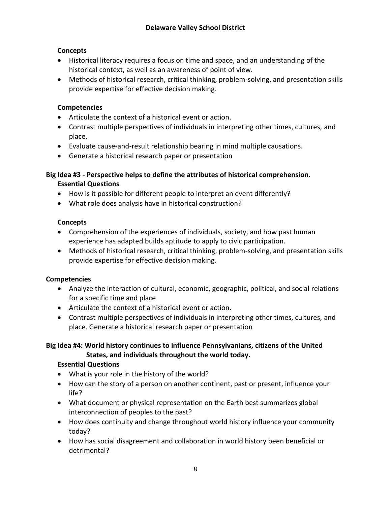## **Concepts**

- Historical literacy requires a focus on time and space, and an understanding of the historical context, as well as an awareness of point of view.
- Methods of historical research, critical thinking, problem-solving, and presentation skills provide expertise for effective decision making.

## **Competencies**

- Articulate the context of a historical event or action.
- Contrast multiple perspectives of individuals in interpreting other times, cultures, and place.
- Evaluate cause‐and‐result relationship bearing in mind multiple causations.
- Generate a historical research paper or presentation

## **Big Idea #3 ‐ Perspective helps to define the attributes of historical comprehension. Essential Questions**

- How is it possible for different people to interpret an event differently?
- What role does analysis have in historical construction?

## **Concepts**

- Comprehension of the experiences of individuals, society, and how past human experience has adapted builds aptitude to apply to civic participation.
- Methods of historical research, critical thinking, problem-solving, and presentation skills provide expertise for effective decision making.

## **Competencies**

- Analyze the interaction of cultural, economic, geographic, political, and social relations for a specific time and place
- Articulate the context of a historical event or action.
- Contrast multiple perspectives of individuals in interpreting other times, cultures, and place. Generate a historical research paper or presentation

## **Big Idea #4: World history continues to influence Pennsylvanians, citizens of the United States, and individuals throughout the world today.**

## **Essential Questions**

- What is your role in the history of the world?
- How can the story of a person on another continent, past or present, influence your life?
- What document or physical representation on the Earth best summarizes global interconnection of peoples to the past?
- How does continuity and change throughout world history influence your community today?
- How has social disagreement and collaboration in world history been beneficial or detrimental?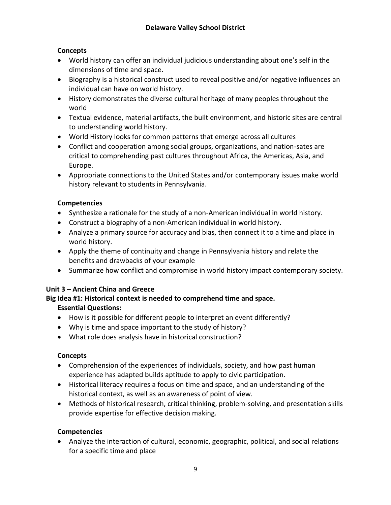## **Concepts**

- World history can offer an individual judicious understanding about one's self in the dimensions of time and space.
- Biography is a historical construct used to reveal positive and/or negative influences an individual can have on world history.
- History demonstrates the diverse cultural heritage of many peoples throughout the world
- Textual evidence, material artifacts, the built environment, and historic sites are central to understanding world history.
- World History looks for common patterns that emerge across all cultures
- Conflict and cooperation among social groups, organizations, and nation‐sates are critical to comprehending past cultures throughout Africa, the Americas, Asia, and Europe.
- Appropriate connections to the United States and/or contemporary issues make world history relevant to students in Pennsylvania.

## **Competencies**

- Synthesize a rationale for the study of a non-American individual in world history.
- Construct a biography of a non-American individual in world history.
- Analyze a primary source for accuracy and bias, then connect it to a time and place in world history.
- Apply the theme of continuity and change in Pennsylvania history and relate the benefits and drawbacks of your example
- Summarize how conflict and compromise in world history impact contemporary society.

## **Unit 3 – Ancient China and Greece**

## **Big Idea #1: Historical context is needed to comprehend time and space.**

## **Essential Questions:**

- How is it possible for different people to interpret an event differently?
- Why is time and space important to the study of history?
- What role does analysis have in historical construction?

## **Concepts**

- Comprehension of the experiences of individuals, society, and how past human experience has adapted builds aptitude to apply to civic participation.
- Historical literacy requires a focus on time and space, and an understanding of the historical context, as well as an awareness of point of view.
- Methods of historical research, critical thinking, problem-solving, and presentation skills provide expertise for effective decision making.

## **Competencies**

 Analyze the interaction of cultural, economic, geographic, political, and social relations for a specific time and place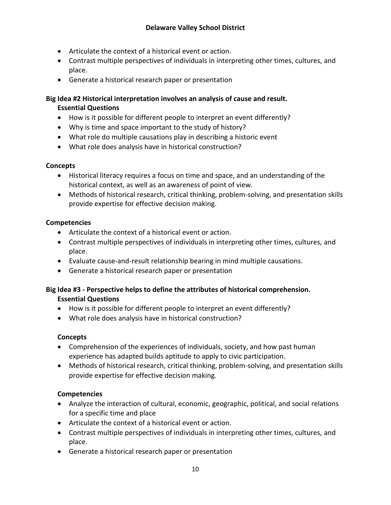- Articulate the context of a historical event or action.
- Contrast multiple perspectives of individuals in interpreting other times, cultures, and place.
- Generate a historical research paper or presentation

**Big Idea #2 Historical interpretation involves an analysis of cause and result. Essential Questions**

- How is it possible for different people to interpret an event differently?
- Why is time and space important to the study of history?
- What role do multiple causations play in describing a historic event
- What role does analysis have in historical construction?

## **Concepts**

- Historical literacy requires a focus on time and space, and an understanding of the historical context, as well as an awareness of point of view.
- Methods of historical research, critical thinking, problem-solving, and presentation skills provide expertise for effective decision making.

## **Competencies**

- Articulate the context of a historical event or action.
- Contrast multiple perspectives of individuals in interpreting other times, cultures, and place.
- Evaluate cause-and-result relationship bearing in mind multiple causations.
- Generate a historical research paper or presentation

## **Big Idea #3 ‐ Perspective helps to define the attributes of historical comprehension. Essential Questions**

- How is it possible for different people to interpret an event differently?
- What role does analysis have in historical construction?

## **Concepts**

- Comprehension of the experiences of individuals, society, and how past human experience has adapted builds aptitude to apply to civic participation.
- Methods of historical research, critical thinking, problem-solving, and presentation skills provide expertise for effective decision making.

## **Competencies**

- Analyze the interaction of cultural, economic, geographic, political, and social relations for a specific time and place
- Articulate the context of a historical event or action.
- Contrast multiple perspectives of individuals in interpreting other times, cultures, and place.
- Generate a historical research paper or presentation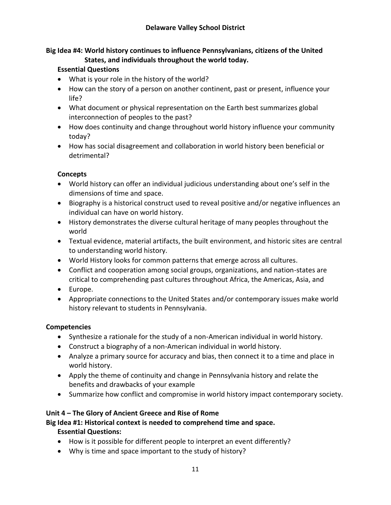#### **Big Idea #4: World history continues to influence Pennsylvanians, citizens of the United States, and individuals throughout the world today.**

## **Essential Questions**

- What is your role in the history of the world?
- How can the story of a person on another continent, past or present, influence your life?
- What document or physical representation on the Earth best summarizes global interconnection of peoples to the past?
- How does continuity and change throughout world history influence your community today?
- How has social disagreement and collaboration in world history been beneficial or detrimental?

## **Concepts**

- World history can offer an individual judicious understanding about one's self in the dimensions of time and space.
- Biography is a historical construct used to reveal positive and/or negative influences an individual can have on world history.
- History demonstrates the diverse cultural heritage of many peoples throughout the world
- Textual evidence, material artifacts, the built environment, and historic sites are central to understanding world history.
- World History looks for common patterns that emerge across all cultures.
- Conflict and cooperation among social groups, organizations, and nation‐states are critical to comprehending past cultures throughout Africa, the Americas, Asia, and
- Europe.
- Appropriate connections to the United States and/or contemporary issues make world history relevant to students in Pennsylvania.

## **Competencies**

- Synthesize a rationale for the study of a non-American individual in world history.
- Construct a biography of a non-American individual in world history.
- Analyze a primary source for accuracy and bias, then connect it to a time and place in world history.
- Apply the theme of continuity and change in Pennsylvania history and relate the benefits and drawbacks of your example
- Summarize how conflict and compromise in world history impact contemporary society.

## **Unit 4 – The Glory of Ancient Greece and Rise of Rome**

**Big Idea #1: Historical context is needed to comprehend time and space.**

## **Essential Questions:**

- How is it possible for different people to interpret an event differently?
- Why is time and space important to the study of history?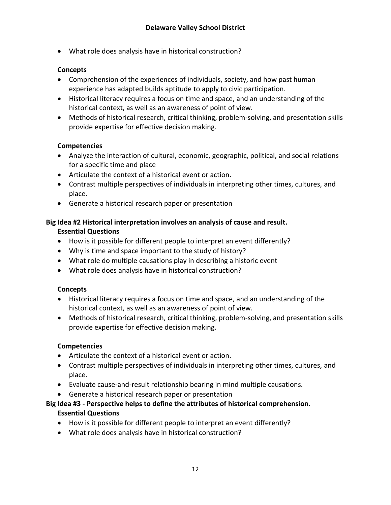What role does analysis have in historical construction?

## **Concepts**

- Comprehension of the experiences of individuals, society, and how past human experience has adapted builds aptitude to apply to civic participation.
- Historical literacy requires a focus on time and space, and an understanding of the historical context, as well as an awareness of point of view.
- Methods of historical research, critical thinking, problem-solving, and presentation skills provide expertise for effective decision making.

## **Competencies**

- Analyze the interaction of cultural, economic, geographic, political, and social relations for a specific time and place
- Articulate the context of a historical event or action.
- Contrast multiple perspectives of individuals in interpreting other times, cultures, and place.
- Generate a historical research paper or presentation

## **Big Idea #2 Historical interpretation involves an analysis of cause and result. Essential Questions**

- How is it possible for different people to interpret an event differently?
- Why is time and space important to the study of history?
- What role do multiple causations play in describing a historic event
- What role does analysis have in historical construction?

## **Concepts**

- Historical literacy requires a focus on time and space, and an understanding of the historical context, as well as an awareness of point of view.
- Methods of historical research, critical thinking, problem-solving, and presentation skills provide expertise for effective decision making.

## **Competencies**

- Articulate the context of a historical event or action.
- Contrast multiple perspectives of individuals in interpreting other times, cultures, and place.
- Evaluate cause‐and‐result relationship bearing in mind multiple causations.
- Generate a historical research paper or presentation

## **Big Idea #3 ‐ Perspective helps to define the attributes of historical comprehension. Essential Questions**

- How is it possible for different people to interpret an event differently?
- What role does analysis have in historical construction?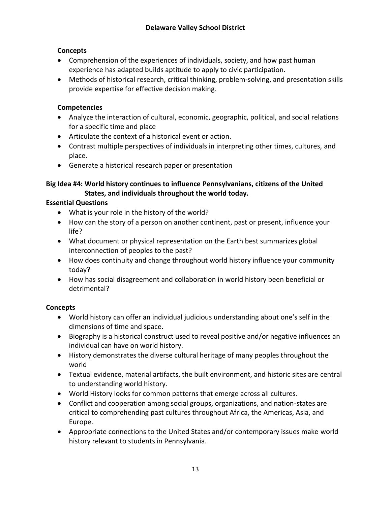## **Concepts**

- Comprehension of the experiences of individuals, society, and how past human experience has adapted builds aptitude to apply to civic participation.
- Methods of historical research, critical thinking, problem-solving, and presentation skills provide expertise for effective decision making.

## **Competencies**

- Analyze the interaction of cultural, economic, geographic, political, and social relations for a specific time and place
- Articulate the context of a historical event or action.
- Contrast multiple perspectives of individuals in interpreting other times, cultures, and place.
- Generate a historical research paper or presentation

## **Big Idea #4: World history continues to influence Pennsylvanians, citizens of the United States, and individuals throughout the world today.**

## **Essential Questions**

- What is your role in the history of the world?
- How can the story of a person on another continent, past or present, influence your life?
- What document or physical representation on the Earth best summarizes global interconnection of peoples to the past?
- How does continuity and change throughout world history influence your community today?
- How has social disagreement and collaboration in world history been beneficial or detrimental?

## **Concepts**

- World history can offer an individual judicious understanding about one's self in the dimensions of time and space.
- Biography is a historical construct used to reveal positive and/or negative influences an individual can have on world history.
- History demonstrates the diverse cultural heritage of many peoples throughout the world
- Textual evidence, material artifacts, the built environment, and historic sites are central to understanding world history.
- World History looks for common patterns that emerge across all cultures.
- Conflict and cooperation among social groups, organizations, and nation‐states are critical to comprehending past cultures throughout Africa, the Americas, Asia, and Europe.
- Appropriate connections to the United States and/or contemporary issues make world history relevant to students in Pennsylvania.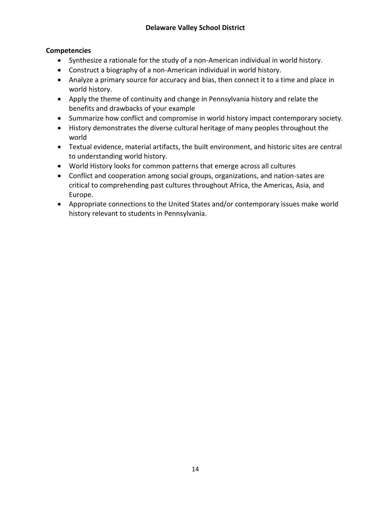## **Competencies**

- Synthesize a rationale for the study of a non-American individual in world history.
- Construct a biography of a non‐American individual in world history.
- Analyze a primary source for accuracy and bias, then connect it to a time and place in world history.
- Apply the theme of continuity and change in Pennsylvania history and relate the benefits and drawbacks of your example
- Summarize how conflict and compromise in world history impact contemporary society.
- History demonstrates the diverse cultural heritage of many peoples throughout the world
- Textual evidence, material artifacts, the built environment, and historic sites are central to understanding world history.
- World History looks for common patterns that emerge across all cultures
- Conflict and cooperation among social groups, organizations, and nation‐sates are critical to comprehending past cultures throughout Africa, the Americas, Asia, and Europe.
- Appropriate connections to the United States and/or contemporary issues make world history relevant to students in Pennsylvania.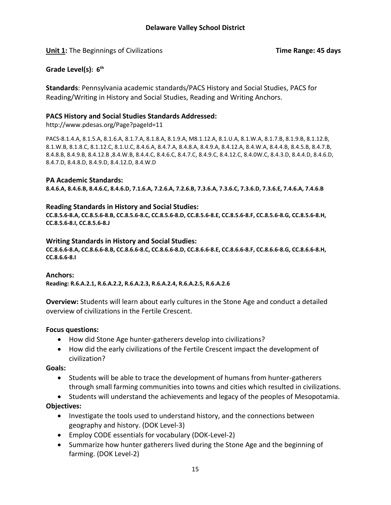**Unit 1:** The Beginnings of Civilizations **Time Range: 45 days**

## **Grade Level(s): 6 th**

**Standards**: Pennsylvania academic standards/PACS History and Social Studies, PACS for Reading/Writing in History and Social Studies, Reading and Writing Anchors.

#### **PACS History and Social Studies Standards Addressed:**

http://www.pdesas.org/Page?pageId=11

PACS-8.1.4.A, 8.1.5.A, 8.1.6.A, 8.1.7.A, 8.1.8.A, 8.1.9.A, M8.1.12.A, 8.1.U.A, 8.1.W.A, 8.1.7.B, 8.1.9.B, 8.1.12.B, 8.1.W.B, 8.1.8.C, 8.1.12.C, 8.1.U.C, 8.4.6.A, 8.4.7.A, 8.4.8.A, 8.4.9.A, 8.4.12.A, 8.4.W.A, 8.4.4.B, 8.4.5.B, 8.4.7.B, 8.4.8.B, 8.4.9.B, 8.4.12.B ,8.4.W.B, 8.4.4.C, 8.4.6.C, 8.4.7.C, 8.4.9.C, 8.4.12.C, 8.4.0W.C, 8.4.3.D, 8.4.4.D, 8.4.6.D, 8.4.7.D, 8.4.8.D, 8.4.9.D, 8.4.12.D, 8.4.W.D

#### **PA Academic Standards:**

**8.4.6.A, 8.4.6.B, 8.4.6.C, 8.4.6.D, 7.1.6.A, 7.2.6.A, 7.2.6.B, 7.3.6.A, 7.3.6.C, 7.3.6.D, 7.3.6.E, 7.4.6.A, 7.4.6.B**

#### **Reading Standards in History and Social Studies:**

**CC.8.5.6-8.A, CC.8.5.6-8.B, CC.8.5.6-8.C, CC.8.5.6-8.D, CC.8.5.6-8.E, CC.8.5.6-8.F, CC.8.5.6-8.G, CC.8.5.6-8.H, CC.8.5.6-8.I, CC.8.5.6-8.J**

#### **Writing Standards in History and Social Studies:**

**CC.8.6.6-8.A, CC.8.6.6-8.B, CC.8.6.6-8.C, CC.8.6.6-8.D, CC.8.6.6-8.E, CC.8.6.6-8.F, CC.8.6.6-8.G, CC.8.6.6-8.H, CC.8.6.6-8.I**

#### **Anchors:**

**Reading: R.6.A.2.1, R.6.A.2.2, R.6.A.2.3, R.6.A.2.4, R.6.A.2.5, R.6.A.2.6**

**Overview:** Students will learn about early cultures in the Stone Age and conduct a detailed overview of civilizations in the Fertile Crescent.

#### **Focus questions:**

- How did Stone Age hunter-gatherers develop into civilizations?
- How did the early civilizations of the Fertile Crescent impact the development of civilization?

**Goals:**

- Students will be able to trace the development of humans from hunter-gatherers through small farming communities into towns and cities which resulted in civilizations.
- Students will understand the achievements and legacy of the peoples of Mesopotamia.

## **Objectives:**

- Investigate the tools used to understand history, and the connections between geography and history. (DOK Level-3)
- Employ CODE essentials for vocabulary (DOK-Level-2)
- Summarize how hunter gatherers lived during the Stone Age and the beginning of farming. (DOK Level-2)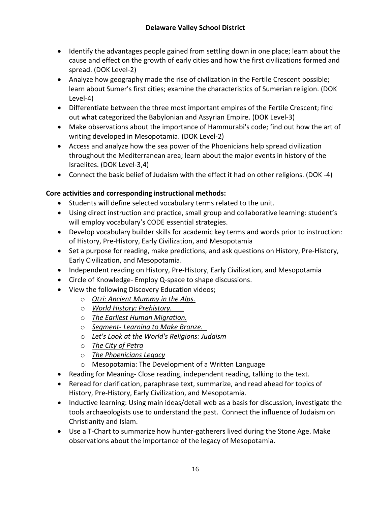- Identify the advantages people gained from settling down in one place; learn about the cause and effect on the growth of early cities and how the first civilizations formed and spread. (DOK Level-2)
- Analyze how geography made the rise of civilization in the Fertile Crescent possible; learn about Sumer's first cities; examine the characteristics of Sumerian religion. (DOK Level-4)
- Differentiate between the three most important empires of the Fertile Crescent; find out what categorized the Babylonian and Assyrian Empire. (DOK Level-3)
- Make observations about the importance of Hammurabi's code; find out how the art of writing developed in Mesopotamia. (DOK Level-2)
- Access and analyze how the sea power of the Phoenicians help spread civilization throughout the Mediterranean area; learn about the major events in history of the Israelites. (DOK Level-3,4)
- Connect the basic belief of Judaism with the effect it had on other religions. (DOK -4)

## **Core activities and corresponding instructional methods:**

- Students will define selected vocabulary terms related to the unit.
- Using direct instruction and practice, small group and collaborative learning: student's will employ vocabulary's CODE essential strategies.
- Develop vocabulary builder skills for academic key terms and words prior to instruction: of History, Pre-History, Early Civilization, and Mesopotamia
- Set a purpose for reading, make predictions, and ask questions on History, Pre-History, Early Civilization, and Mesopotamia.
- Independent reading on History, Pre-History, Early Civilization, and Mesopotamia
- Circle of Knowledge- Employ Q-space to shape discussions.
- View the following Discovery Education videos;
	- o *Otzi: Ancient Mummy in the Alps.*
	- o *World History: Prehistory.*
	- o *The Earliest Human Migration.*
	- o *Segment- Learning to Make Bronze.*
	- o *Let's Look at the World's Religions: Judaism*
	- o *The City of Petra*
	- o *The Phoenicians Legacy*
	- o Mesopotamia: The Development of a Written Language
- Reading for Meaning- Close reading, independent reading, talking to the text.
- Reread for clarification, paraphrase text, summarize, and read ahead for topics of History, Pre-History, Early Civilization, and Mesopotamia.
- Inductive learning: Using main ideas/detail web as a basis for discussion, investigate the tools archaeologists use to understand the past. Connect the influence of Judaism on Christianity and Islam.
- Use a T-Chart to summarize how hunter-gatherers lived during the Stone Age. Make observations about the importance of the legacy of Mesopotamia.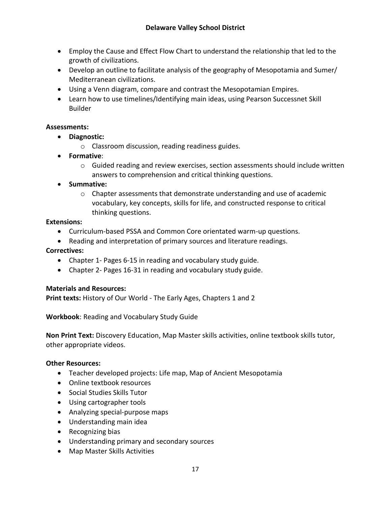- Employ the Cause and Effect Flow Chart to understand the relationship that led to the growth of civilizations.
- Develop an outline to facilitate analysis of the geography of Mesopotamia and Sumer/ Mediterranean civilizations.
- Using a Venn diagram, compare and contrast the Mesopotamian Empires.
- Learn how to use timelines/Identifying main ideas, using Pearson Successnet Skill Builder

## **Assessments:**

- **Diagnostic:** 
	- o Classroom discussion, reading readiness guides.
- **Formative**:
	- $\circ$  Guided reading and review exercises, section assessments should include written answers to comprehension and critical thinking questions.
- **Summative:** 
	- $\circ$  Chapter assessments that demonstrate understanding and use of academic vocabulary, key concepts, skills for life, and constructed response to critical thinking questions.

#### **Extensions:**

- Curriculum-based PSSA and Common Core orientated warm-up questions.
- Reading and interpretation of primary sources and literature readings.

## **Correctives:**

- Chapter 1- Pages 6-15 in reading and vocabulary study guide.
- Chapter 2- Pages 16-31 in reading and vocabulary study guide.

## **Materials and Resources:**

**Print texts:** History of Our World - The Early Ages, Chapters 1 and 2

**Workbook**: Reading and Vocabulary Study Guide

**Non Print Text:** Discovery Education, Map Master skills activities, online textbook skills tutor, other appropriate videos.

#### **Other Resources:**

- Teacher developed projects: Life map, Map of Ancient Mesopotamia
- Online textbook resources
- Social Studies Skills Tutor
- Using cartographer tools
- Analyzing special-purpose maps
- Understanding main idea
- Recognizing bias
- Understanding primary and secondary sources
- Map Master Skills Activities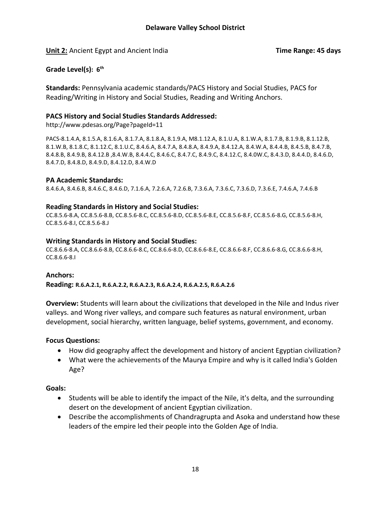**Unit 2:** Ancient Egypt and Ancient India **Time Range: 45 days**

**Grade Level(s): 6 th**

**Standards:** Pennsylvania academic standards/PACS History and Social Studies, PACS for Reading/Writing in History and Social Studies, Reading and Writing Anchors.

#### **PACS History and Social Studies Standards Addressed:**

http://www.pdesas.org/Page?pageId=11

PACS-8.1.4.A, 8.1.5.A, 8.1.6.A, 8.1.7.A, 8.1.8.A, 8.1.9.A, M8.1.12.A, 8.1.U.A, 8.1.W.A, 8.1.7.B, 8.1.9.B, 8.1.12.B, 8.1.W.B, 8.1.8.C, 8.1.12.C, 8.1.U.C, 8.4.6.A, 8.4.7.A, 8.4.8.A, 8.4.9.A, 8.4.12.A, 8.4.W.A, 8.4.4.B, 8.4.5.B, 8.4.7.B, 8.4.8.B, 8.4.9.B, 8.4.12.B ,8.4.W.B, 8.4.4.C, 8.4.6.C, 8.4.7.C, 8.4.9.C, 8.4.12.C, 8.4.0W.C, 8.4.3.D, 8.4.4.D, 8.4.6.D, 8.4.7.D, 8.4.8.D, 8.4.9.D, 8.4.12.D, 8.4.W.D

#### **PA Academic Standards:**

8.4.6.A, 8.4.6.B, 8.4.6.C, 8.4.6.D, 7.1.6.A, 7.2.6.A, 7.2.6.B, 7.3.6.A, 7.3.6.C, 7.3.6.D, 7.3.6.E, 7.4.6.A, 7.4.6.B

#### **Reading Standards in History and Social Studies:**

CC.8.5.6-8.A, CC.8.5.6-8.B, CC.8.5.6-8.C, CC.8.5.6-8.D, CC.8.5.6-8.E, CC.8.5.6-8.F, CC.8.5.6-8.G, CC.8.5.6-8.H, CC.8.5.6-8.I, CC.8.5.6-8.J

#### **Writing Standards in History and Social Studies:**

CC.8.6.6-8.A, CC.8.6.6-8.B, CC.8.6.6-8.C, CC.8.6.6-8.D, CC.8.6.6-8.E, CC.8.6.6-8.F, CC.8.6.6-8.G, CC.8.6.6-8.H, CC.8.6.6-8.I

## **Anchors:**

**Reading: R.6.A.2.1, R.6.A.2.2, R.6.A.2.3, R.6.A.2.4, R.6.A.2.5, R.6.A.2.6**

**Overview:** Students will learn about the civilizations that developed in the Nile and Indus river valleys. and Wong river valleys, and compare such features as natural environment, urban development, social hierarchy, written language, belief systems, government, and economy.

## **Focus Questions:**

- How did geography affect the development and history of ancient Egyptian civilization?
- What were the achievements of the Maurya Empire and why is it called India's Golden Age?

## **Goals:**

- Students will be able to identify the impact of the Nile, it's delta, and the surrounding desert on the development of ancient Egyptian civilization.
- Describe the accomplishments of Chandragrupta and Asoka and understand how these leaders of the empire led their people into the Golden Age of India.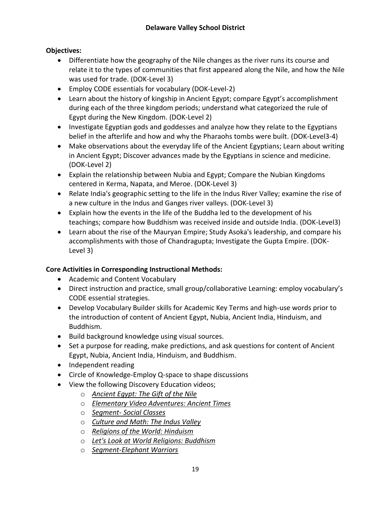## **Objectives:**

- Differentiate how the geography of the Nile changes as the river runs its course and relate it to the types of communities that first appeared along the Nile, and how the Nile was used for trade. (DOK-Level 3)
- Employ CODE essentials for vocabulary (DOK-Level-2)
- Learn about the history of kingship in Ancient Egypt; compare Egypt's accomplishment during each of the three kingdom periods; understand what categorized the rule of Egypt during the New Kingdom. (DOK-Level 2)
- Investigate Egyptian gods and goddesses and analyze how they relate to the Egyptians belief in the afterlife and how and why the Pharaohs tombs were built. (DOK-Level3-4)
- Make observations about the everyday life of the Ancient Egyptians; Learn about writing in Ancient Egypt; Discover advances made by the Egyptians in science and medicine. (DOK-Level 2)
- Explain the relationship between Nubia and Egypt; Compare the Nubian Kingdoms centered in Kerma, Napata, and Meroe. (DOK-Level 3)
- Relate India's geographic setting to the life in the Indus River Valley; examine the rise of a new culture in the Indus and Ganges river valleys. (DOK-Level 3)
- Explain how the events in the life of the Buddha led to the development of his teachings; compare how Buddhism was received inside and outside India. (DOK-Level3)
- Learn about the rise of the Mauryan Empire; Study Asoka's leadership, and compare his accomplishments with those of Chandragupta; Investigate the Gupta Empire. (DOK-Level 3)

## **Core Activities in Corresponding Instructional Methods:**

- Academic and Content Vocabulary
- Direct instruction and practice, small group/collaborative Learning: employ vocabulary's CODE essential strategies.
- Develop Vocabulary Builder skills for Academic Key Terms and high-use words prior to the introduction of content of Ancient Egypt, Nubia, Ancient India, Hinduism, and Buddhism.
- Build background knowledge using visual sources.
- Set a purpose for reading, make predictions, and ask questions for content of Ancient Egypt, Nubia, Ancient India, Hinduism, and Buddhism.
- Independent reading
- Circle of Knowledge-Employ Q-space to shape discussions
- View the following Discovery Education videos;
	- o *Ancient Egypt: The Gift of the Nile*
	- o *Elementary Video Adventures: Ancient Times*
	- o *Segment- Social Classes*
	- o *Culture and Math: The Indus Valley*
	- o *Religions of the World: Hinduism*
	- o *Let's Look at World Religions: Buddhism*
	- o *Segment-Elephant Warriors*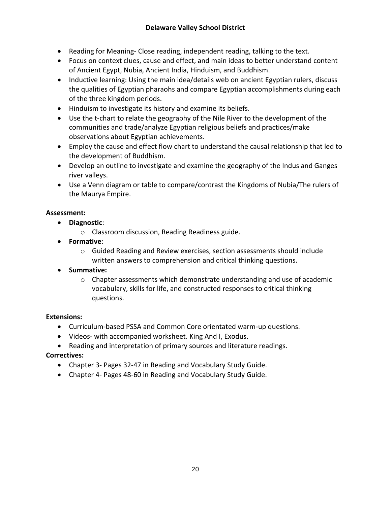- Reading for Meaning- Close reading, independent reading, talking to the text.
- Focus on context clues, cause and effect, and main ideas to better understand content of Ancient Egypt, Nubia, Ancient India, Hinduism, and Buddhism.
- Inductive learning: Using the main idea/details web on ancient Egyptian rulers, discuss the qualities of Egyptian pharaohs and compare Egyptian accomplishments during each of the three kingdom periods.
- Hinduism to investigate its history and examine its beliefs.
- Use the t-chart to relate the geography of the Nile River to the development of the communities and trade/analyze Egyptian religious beliefs and practices/make observations about Egyptian achievements.
- Employ the cause and effect flow chart to understand the causal relationship that led to the development of Buddhism.
- Develop an outline to investigate and examine the geography of the Indus and Ganges river valleys.
- Use a Venn diagram or table to compare/contrast the Kingdoms of Nubia/The rulers of the Maurya Empire.

## **Assessment:**

- **Diagnostic**:
	- o Classroom discussion, Reading Readiness guide.
- **Formative**:
	- o Guided Reading and Review exercises, section assessments should include written answers to comprehension and critical thinking questions.
- **Summative:**
	- $\circ$  Chapter assessments which demonstrate understanding and use of academic vocabulary, skills for life, and constructed responses to critical thinking questions.

## **Extensions:**

- Curriculum-based PSSA and Common Core orientated warm-up questions.
- Videos- with accompanied worksheet. King And I, Exodus.
- Reading and interpretation of primary sources and literature readings.

## **Correctives:**

- Chapter 3- Pages 32-47 in Reading and Vocabulary Study Guide.
- Chapter 4- Pages 48-60 in Reading and Vocabulary Study Guide.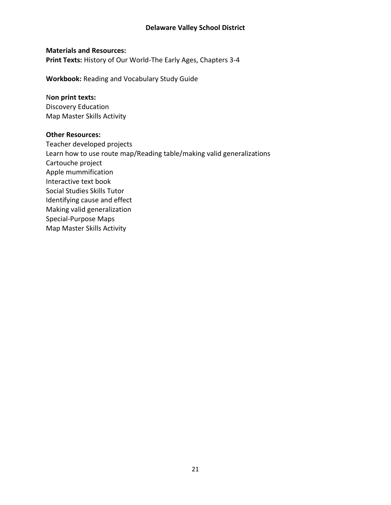#### **Delaware Valley School District**

#### **Materials and Resources:**

**Print Texts:** History of Our World-The Early Ages, Chapters 3-4

**Workbook:** Reading and Vocabulary Study Guide

#### N**on print texts:**

Discovery Education Map Master Skills Activity

#### **Other Resources:**

Teacher developed projects Learn how to use route map/Reading table/making valid generalizations Cartouche project Apple mummification Interactive text book Social Studies Skills Tutor Identifying cause and effect Making valid generalization Special-Purpose Maps Map Master Skills Activity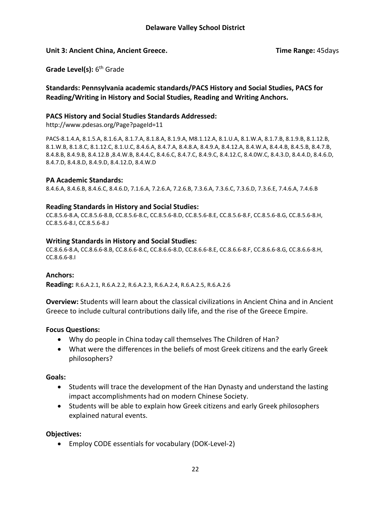#### **Unit 3: Ancient China, Ancient Greece. Time Range:** 45days

**Grade Level(s):** 6<sup>th</sup> Grade

#### **Standards: Pennsylvania academic standards/PACS History and Social Studies, PACS for Reading/Writing in History and Social Studies, Reading and Writing Anchors.**

#### **PACS History and Social Studies Standards Addressed:**

http://www.pdesas.org/Page?pageId=11

PACS-8.1.4.A, 8.1.5.A, 8.1.6.A, 8.1.7.A, 8.1.8.A, 8.1.9.A, M8.1.12.A, 8.1.U.A, 8.1.W.A, 8.1.7.B, 8.1.9.B, 8.1.12.B, 8.1.W.B, 8.1.8.C, 8.1.12.C, 8.1.U.C, 8.4.6.A, 8.4.7.A, 8.4.8.A, 8.4.9.A, 8.4.12.A, 8.4.W.A, 8.4.4.B, 8.4.5.B, 8.4.7.B, 8.4.8.B, 8.4.9.B, 8.4.12.B ,8.4.W.B, 8.4.4.C, 8.4.6.C, 8.4.7.C, 8.4.9.C, 8.4.12.C, 8.4.0W.C, 8.4.3.D, 8.4.4.D, 8.4.6.D, 8.4.7.D, 8.4.8.D, 8.4.9.D, 8.4.12.D, 8.4.W.D

#### **PA Academic Standards:**

8.4.6.A, 8.4.6.B, 8.4.6.C, 8.4.6.D, 7.1.6.A, 7.2.6.A, 7.2.6.B, 7.3.6.A, 7.3.6.C, 7.3.6.D, 7.3.6.E, 7.4.6.A, 7.4.6.B

#### **Reading Standards in History and Social Studies:**

CC.8.5.6-8.A, CC.8.5.6-8.B, CC.8.5.6-8.C, CC.8.5.6-8.D, CC.8.5.6-8.E, CC.8.5.6-8.F, CC.8.5.6-8.G, CC.8.5.6-8.H, CC.8.5.6-8.I, CC.8.5.6-8.J

#### **Writing Standards in History and Social Studies:**

CC.8.6.6-8.A, CC.8.6.6-8.B, CC.8.6.6-8.C, CC.8.6.6-8.D, CC.8.6.6-8.E, CC.8.6.6-8.F, CC.8.6.6-8.G, CC.8.6.6-8.H, CC.8.6.6-8.I

#### **Anchors:**

**Reading:** R.6.A.2.1, R.6.A.2.2, R.6.A.2.3, R.6.A.2.4, R.6.A.2.5, R.6.A.2.6

**Overview:** Students will learn about the classical civilizations in Ancient China and in Ancient Greece to include cultural contributions daily life, and the rise of the Greece Empire.

#### **Focus Questions:**

- Why do people in China today call themselves The Children of Han?
- What were the differences in the beliefs of most Greek citizens and the early Greek philosophers?

#### **Goals:**

- Students will trace the development of the Han Dynasty and understand the lasting impact accomplishments had on modern Chinese Society.
- Students will be able to explain how Greek citizens and early Greek philosophers explained natural events.

#### **Objectives:**

Employ CODE essentials for vocabulary (DOK-Level-2)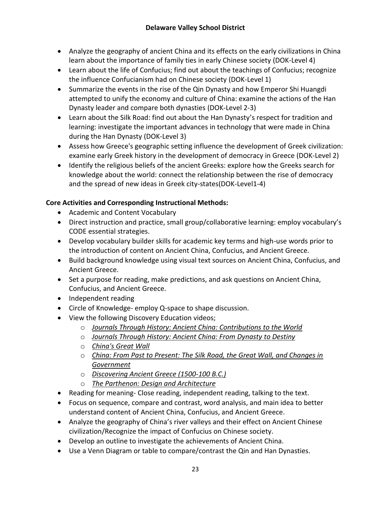- Analyze the geography of ancient China and its effects on the early civilizations in China learn about the importance of family ties in early Chinese society (DOK-Level 4)
- Learn about the life of Confucius; find out about the teachings of Confucius; recognize the influence Confucianism had on Chinese society (DOK-Level 1)
- Summarize the events in the rise of the Qin Dynasty and how Emperor Shi Huangdi attempted to unify the economy and culture of China: examine the actions of the Han Dynasty leader and compare both dynasties (DOK-Level 2-3)
- Learn about the Silk Road: find out about the Han Dynasty's respect for tradition and learning: investigate the important advances in technology that were made in China during the Han Dynasty (DOK-Level 3)
- Assess how Greece's geographic setting influence the development of Greek civilization: examine early Greek history in the development of democracy in Greece (DOK-Level 2)
- Identify the religious beliefs of the ancient Greeks: explore how the Greeks search for knowledge about the world: connect the relationship between the rise of democracy and the spread of new ideas in Greek city-states(DOK-Level1-4)

## **Core Activities and Corresponding Instructional Methods:**

- Academic and Content Vocabulary
- Direct instruction and practice, small group/collaborative learning: employ vocabulary's CODE essential strategies.
- Develop vocabulary builder skills for academic key terms and high-use words prior to the introduction of content on Ancient China, Confucius, and Ancient Greece.
- Build background knowledge using visual text sources on Ancient China, Confucius, and Ancient Greece.
- Set a purpose for reading, make predictions, and ask questions on Ancient China, Confucius, and Ancient Greece.
- Independent reading
- Circle of Knowledge- employ Q-space to shape discussion.
- View the following Discovery Education videos;
	- o *Journals Through History: Ancient China: Contributions to the World*
	- o *Journals Through History: Ancient China: From Dynasty to Destiny*
	- o *China's Great Wall*
	- o *China: From Past to Present: The Silk Road, the Great Wall, and Changes in Government*
	- o *Discovering Ancient Greece (1500-100 B.C.)*
	- o *The Parthenon: Design and Architecture*
- Reading for meaning- Close reading, independent reading, talking to the text.
- Focus on sequence, compare and contrast, word analysis, and main idea to better understand content of Ancient China, Confucius, and Ancient Greece.
- Analyze the geography of China's river valleys and their effect on Ancient Chinese civilization/Recognize the impact of Confucius on Chinese society.
- Develop an outline to investigate the achievements of Ancient China.
- Use a Venn Diagram or table to compare/contrast the Qin and Han Dynasties.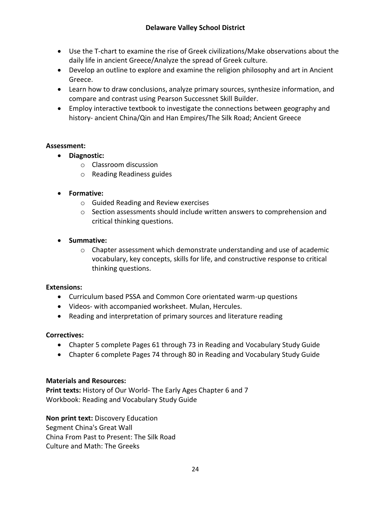- Use the T-chart to examine the rise of Greek civilizations/Make observations about the daily life in ancient Greece/Analyze the spread of Greek culture.
- Develop an outline to explore and examine the religion philosophy and art in Ancient Greece.
- Learn how to draw conclusions, analyze primary sources, synthesize information, and compare and contrast using Pearson Successnet Skill Builder.
- Employ interactive textbook to investigate the connections between geography and history- ancient China/Qin and Han Empires/The Silk Road; Ancient Greece

## **Assessment:**

- **Diagnostic:** 
	- o Classroom discussion
	- o Reading Readiness guides
- **Formative:** 
	- o Guided Reading and Review exercises
	- $\circ$  Section assessments should include written answers to comprehension and critical thinking questions.
- **Summative:** 
	- $\circ$  Chapter assessment which demonstrate understanding and use of academic vocabulary, key concepts, skills for life, and constructive response to critical thinking questions.

## **Extensions:**

- Curriculum based PSSA and Common Core orientated warm-up questions
- Videos- with accompanied worksheet. Mulan, Hercules.
- Reading and interpretation of primary sources and literature reading

## **Correctives:**

- Chapter 5 complete Pages 61 through 73 in Reading and Vocabulary Study Guide
- Chapter 6 complete Pages 74 through 80 in Reading and Vocabulary Study Guide

## **Materials and Resources:**

**Print texts:** History of Our World- The Early Ages Chapter 6 and 7 Workbook: Reading and Vocabulary Study Guide

**Non print text:** Discovery Education Segment China's Great Wall China From Past to Present: The Silk Road Culture and Math: The Greeks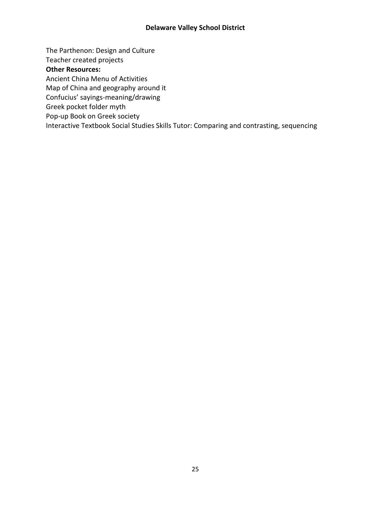## **Delaware Valley School District**

The Parthenon: Design and Culture

Teacher created projects

#### **Other Resources:**

Ancient China Menu of Activities

Map of China and geography around it

Confucius' sayings-meaning/drawing

Greek pocket folder myth

Pop-up Book on Greek society

Interactive Textbook Social Studies Skills Tutor: Comparing and contrasting, sequencing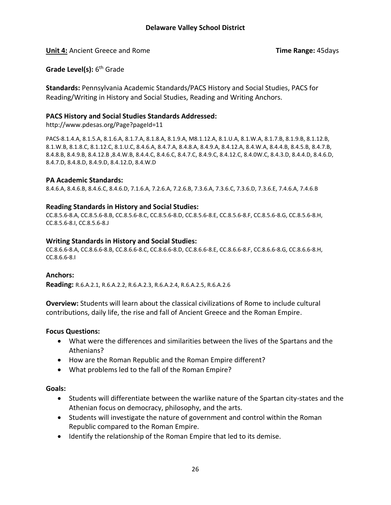**Unit 4:** Ancient Greece and Rome **Time Range:** 45days

**Grade Level(s):** 6<sup>th</sup> Grade

**Standards:** Pennsylvania Academic Standards/PACS History and Social Studies, PACS for Reading/Writing in History and Social Studies, Reading and Writing Anchors.

#### **PACS History and Social Studies Standards Addressed:**

http://www.pdesas.org/Page?pageId=11

PACS-8.1.4.A, 8.1.5.A, 8.1.6.A, 8.1.7.A, 8.1.8.A, 8.1.9.A, M8.1.12.A, 8.1.U.A, 8.1.W.A, 8.1.7.B, 8.1.9.B, 8.1.12.B, 8.1.W.B, 8.1.8.C, 8.1.12.C, 8.1.U.C, 8.4.6.A, 8.4.7.A, 8.4.8.A, 8.4.9.A, 8.4.12.A, 8.4.W.A, 8.4.4.B, 8.4.5.B, 8.4.7.B, 8.4.8.B, 8.4.9.B, 8.4.12.B ,8.4.W.B, 8.4.4.C, 8.4.6.C, 8.4.7.C, 8.4.9.C, 8.4.12.C, 8.4.0W.C, 8.4.3.D, 8.4.4.D, 8.4.6.D, 8.4.7.D, 8.4.8.D, 8.4.9.D, 8.4.12.D, 8.4.W.D

#### **PA Academic Standards:**

8.4.6.A, 8.4.6.B, 8.4.6.C, 8.4.6.D, 7.1.6.A, 7.2.6.A, 7.2.6.B, 7.3.6.A, 7.3.6.C, 7.3.6.D, 7.3.6.E, 7.4.6.A, 7.4.6.B

#### **Reading Standards in History and Social Studies:**

CC.8.5.6-8.A, CC.8.5.6-8.B, CC.8.5.6-8.C, CC.8.5.6-8.D, CC.8.5.6-8.E, CC.8.5.6-8.F, CC.8.5.6-8.G, CC.8.5.6-8.H, CC.8.5.6-8.I, CC.8.5.6-8.J

#### **Writing Standards in History and Social Studies:**

CC.8.6.6-8.A, CC.8.6.6-8.B, CC.8.6.6-8.C, CC.8.6.6-8.D, CC.8.6.6-8.E, CC.8.6.6-8.F, CC.8.6.6-8.G, CC.8.6.6-8.H, CC.8.6.6-8.I

#### **Anchors:**

**Reading:** R.6.A.2.1, R.6.A.2.2, R.6.A.2.3, R.6.A.2.4, R.6.A.2.5, R.6.A.2.6

**Overview:** Students will learn about the classical civilizations of Rome to include cultural contributions, daily life, the rise and fall of Ancient Greece and the Roman Empire.

#### **Focus Questions:**

- What were the differences and similarities between the lives of the Spartans and the Athenians?
- How are the Roman Republic and the Roman Empire different?
- What problems led to the fall of the Roman Empire?

#### **Goals:**

- Students will differentiate between the warlike nature of the Spartan city-states and the Athenian focus on democracy, philosophy, and the arts.
- Students will investigate the nature of government and control within the Roman Republic compared to the Roman Empire.
- Identify the relationship of the Roman Empire that led to its demise.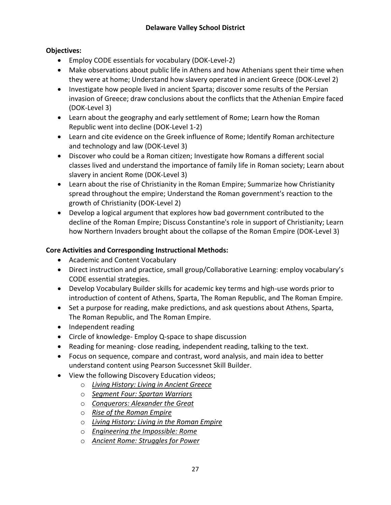## **Objectives:**

- Employ CODE essentials for vocabulary (DOK-Level-2)
- Make observations about public life in Athens and how Athenians spent their time when they were at home; Understand how slavery operated in ancient Greece (DOK-Level 2)
- Investigate how people lived in ancient Sparta; discover some results of the Persian invasion of Greece; draw conclusions about the conflicts that the Athenian Empire faced (DOK-Level 3)
- Learn about the geography and early settlement of Rome; Learn how the Roman Republic went into decline (DOK-Level 1-2)
- Learn and cite evidence on the Greek influence of Rome; Identify Roman architecture and technology and law (DOK-Level 3)
- Discover who could be a Roman citizen; Investigate how Romans a different social classes lived and understand the importance of family life in Roman society; Learn about slavery in ancient Rome (DOK-Level 3)
- Learn about the rise of Christianity in the Roman Empire; Summarize how Christianity spread throughout the empire; Understand the Roman government's reaction to the growth of Christianity (DOK-Level 2)
- Develop a logical argument that explores how bad government contributed to the decline of the Roman Empire; Discuss Constantine's role in support of Christianity; Learn how Northern Invaders brought about the collapse of the Roman Empire (DOK-Level 3)

## **Core Activities and Corresponding Instructional Methods:**

- Academic and Content Vocabulary
- Direct instruction and practice, small group/Collaborative Learning: employ vocabulary's CODE essential strategies.
- Develop Vocabulary Builder skills for academic key terms and high-use words prior to introduction of content of Athens, Sparta, The Roman Republic, and The Roman Empire.
- Set a purpose for reading, make predictions, and ask questions about Athens, Sparta, The Roman Republic, and The Roman Empire.
- Independent reading
- Circle of knowledge- Employ Q-space to shape discussion
- Reading for meaning- close reading, independent reading, talking to the text.
- Focus on sequence, compare and contrast, word analysis, and main idea to better understand content using Pearson Successnet Skill Builder.
- View the following Discovery Education videos;
	- o *Living History: Living in Ancient Greece*
	- o *Segment Four: Spartan Warriors*
	- o *Conquerors: Alexander the Great*
	- o *Rise of the Roman Empire*
	- o *Living History: Living in the Roman Empire*
	- o *Engineering the Impossible: Rome*
	- o *Ancient Rome: Struggles for Power*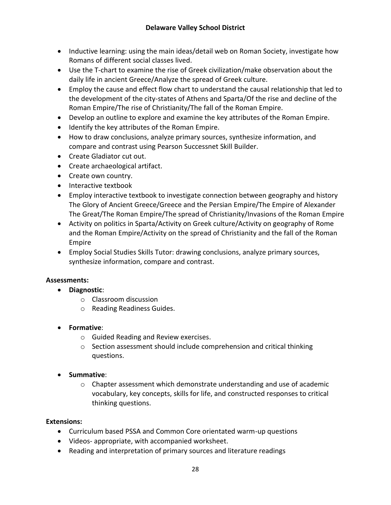- Inductive learning: using the main ideas/detail web on Roman Society, investigate how Romans of different social classes lived.
- Use the T-chart to examine the rise of Greek civilization/make observation about the daily life in ancient Greece/Analyze the spread of Greek culture.
- Employ the cause and effect flow chart to understand the causal relationship that led to the development of the city-states of Athens and Sparta/Of the rise and decline of the Roman Empire/The rise of Christianity/The fall of the Roman Empire.
- Develop an outline to explore and examine the key attributes of the Roman Empire.
- Identify the key attributes of the Roman Empire.
- How to draw conclusions, analyze primary sources, synthesize information, and compare and contrast using Pearson Successnet Skill Builder.
- Create Gladiator cut out.
- Create archaeological artifact.
- Create own country.
- Interactive textbook
- Employ interactive textbook to investigate connection between geography and history The Glory of Ancient Greece/Greece and the Persian Empire/The Empire of Alexander The Great/The Roman Empire/The spread of Christianity/Invasions of the Roman Empire
- Activity on politics in Sparta/Activity on Greek culture/Activity on geography of Rome and the Roman Empire/Activity on the spread of Christianity and the fall of the Roman Empire
- Employ Social Studies Skills Tutor: drawing conclusions, analyze primary sources, synthesize information, compare and contrast.

## **Assessments:**

- **Diagnostic**:
	- o Classroom discussion
	- o Reading Readiness Guides.
- **Formative**:
	- o Guided Reading and Review exercises.
	- o Section assessment should include comprehension and critical thinking questions.
- **•** Summative:
	- $\circ$  Chapter assessment which demonstrate understanding and use of academic vocabulary, key concepts, skills for life, and constructed responses to critical thinking questions.

## **Extensions:**

- Curriculum based PSSA and Common Core orientated warm-up questions
- Videos- appropriate, with accompanied worksheet.
- Reading and interpretation of primary sources and literature readings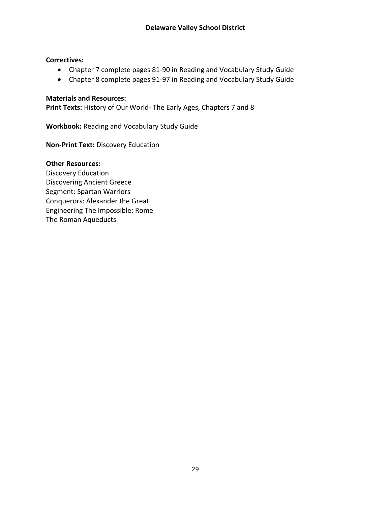#### **Correctives:**

- Chapter 7 complete pages 81-90 in Reading and Vocabulary Study Guide
- Chapter 8 complete pages 91-97 in Reading and Vocabulary Study Guide

#### **Materials and Resources:**

**Print Texts:** History of Our World- The Early Ages, Chapters 7 and 8

**Workbook:** Reading and Vocabulary Study Guide

**Non-Print Text:** Discovery Education

#### **Other Resources:**

Discovery Education Discovering Ancient Greece Segment: Spartan Warriors Conquerors: Alexander the Great Engineering The Impossible: Rome The Roman Aqueducts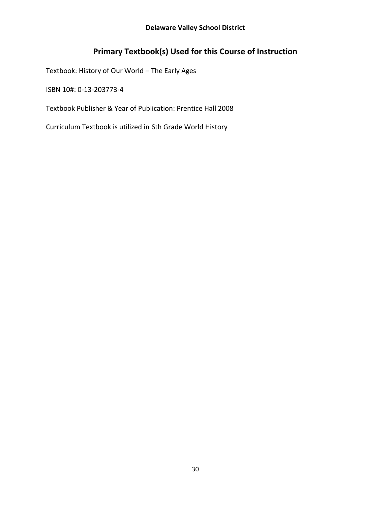## **Primary Textbook(s) Used for this Course of Instruction**

Textbook: History of Our World – The Early Ages

ISBN 10#: 0‐13‐203773‐4

Textbook Publisher & Year of Publication: Prentice Hall 2008

Curriculum Textbook is utilized in 6th Grade World History